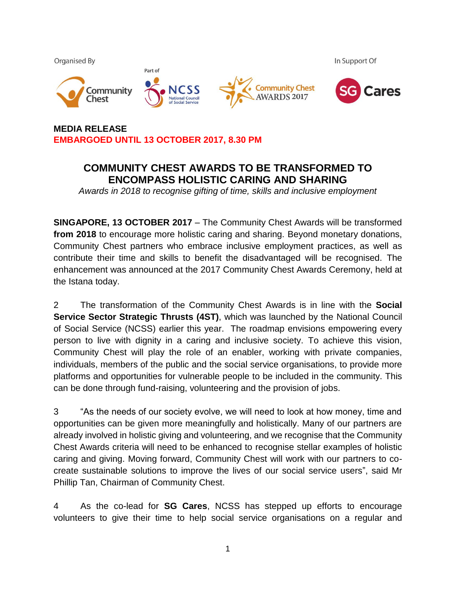

# **MEDIA RELEASE EMBARGOED UNTIL 13 OCTOBER 2017, 8.30 PM**

# **COMMUNITY CHEST AWARDS TO BE TRANSFORMED TO ENCOMPASS HOLISTIC CARING AND SHARING**

*Awards in 2018 to recognise gifting of time, skills and inclusive employment*

**SINGAPORE, 13 OCTOBER 2017** – The Community Chest Awards will be transformed **from 2018** to encourage more holistic caring and sharing. Beyond monetary donations, Community Chest partners who embrace inclusive employment practices, as well as contribute their time and skills to benefit the disadvantaged will be recognised. The enhancement was announced at the 2017 Community Chest Awards Ceremony, held at the Istana today.

2 The transformation of the Community Chest Awards is in line with the **Social Service Sector Strategic Thrusts (4ST)**, which was launched by the National Council of Social Service (NCSS) earlier this year. The roadmap envisions empowering every person to live with dignity in a caring and inclusive society. To achieve this vision, Community Chest will play the role of an enabler, working with private companies, individuals, members of the public and the social service organisations, to provide more platforms and opportunities for vulnerable people to be included in the community. This can be done through fund-raising, volunteering and the provision of jobs.

3 "As the needs of our society evolve, we will need to look at how money, time and opportunities can be given more meaningfully and holistically. Many of our partners are already involved in holistic giving and volunteering, and we recognise that the Community Chest Awards criteria will need to be enhanced to recognise stellar examples of holistic caring and giving. Moving forward, Community Chest will work with our partners to cocreate sustainable solutions to improve the lives of our social service users", said Mr Phillip Tan, Chairman of Community Chest.

4 As the co-lead for **SG Cares**, NCSS has stepped up efforts to encourage volunteers to give their time to help social service organisations on a regular and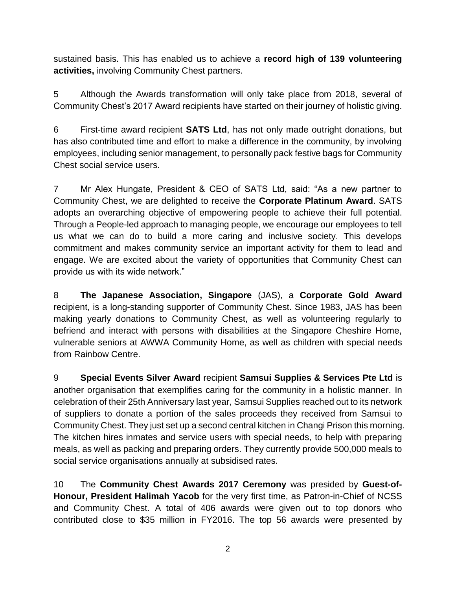sustained basis. This has enabled us to achieve a **record high of 139 volunteering activities,** involving Community Chest partners.

5 Although the Awards transformation will only take place from 2018, several of Community Chest's 2017 Award recipients have started on their journey of holistic giving.

6 First-time award recipient **SATS Ltd**, has not only made outright donations, but has also contributed time and effort to make a difference in the community, by involving employees, including senior management, to personally pack festive bags for Community Chest social service users.

7 Mr Alex Hungate, President & CEO of SATS Ltd, said: "As a new partner to Community Chest, we are delighted to receive the **Corporate Platinum Award**. SATS adopts an overarching objective of empowering people to achieve their full potential. Through a People-led approach to managing people, we encourage our employees to tell us what we can do to build a more caring and inclusive society. This develops commitment and makes community service an important activity for them to lead and engage. We are excited about the variety of opportunities that Community Chest can provide us with its wide network."

8 **The Japanese Association, Singapore** (JAS), a **Corporate Gold Award** recipient, is a long-standing supporter of Community Chest. Since 1983, JAS has been making yearly donations to Community Chest, as well as volunteering regularly to befriend and interact with persons with disabilities at the Singapore Cheshire Home, vulnerable seniors at AWWA Community Home, as well as children with special needs from Rainbow Centre.

9 **Special Events Silver Award** recipient **Samsui Supplies & Services Pte Ltd** is another organisation that exemplifies caring for the community in a holistic manner. In celebration of their 25th Anniversary last year, Samsui Supplies reached out to its network of suppliers to donate a portion of the sales proceeds they received from Samsui to Community Chest. They just set up a second central kitchen in Changi Prison this morning. The kitchen hires inmates and service users with special needs, to help with preparing meals, as well as packing and preparing orders. They currently provide 500,000 meals to social service organisations annually at subsidised rates.

10 The **Community Chest Awards 2017 Ceremony** was presided by **Guest-of-Honour, President Halimah Yacob** for the very first time, as Patron-in-Chief of NCSS and Community Chest. A total of 406 awards were given out to top donors who contributed close to \$35 million in FY2016. The top 56 awards were presented by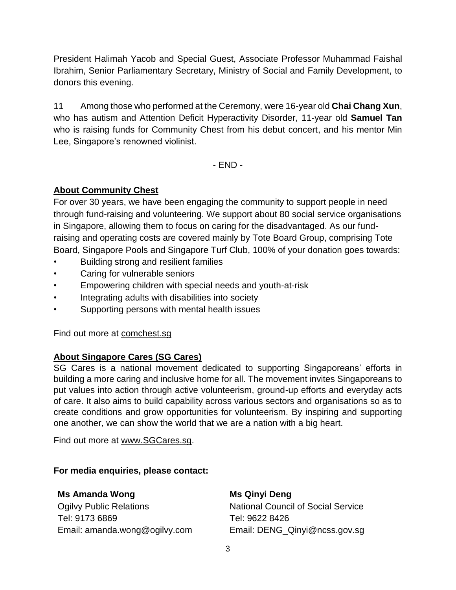President Halimah Yacob and Special Guest, Associate Professor Muhammad Faishal Ibrahim, Senior Parliamentary Secretary, Ministry of Social and Family Development, to donors this evening.

11 Among those who performed at the Ceremony, were 16-year old **Chai Chang Xun**, who has autism and Attention Deficit Hyperactivity Disorder, 11-year old **Samuel Tan** who is raising funds for Community Chest from his debut concert, and his mentor Min Lee, Singapore's renowned violinist.

- END -

## **About Community Chest**

For over 30 years, we have been engaging the community to support people in need through fund-raising and volunteering. We support about 80 social service organisations in Singapore, allowing them to focus on caring for the disadvantaged. As our fundraising and operating costs are covered mainly by Tote Board Group, comprising Tote Board, Singapore Pools and Singapore Turf Club, 100% of your donation goes towards:

- Building strong and resilient families
- Caring for vulnerable seniors
- Empowering children with special needs and youth-at-risk
- Integrating adults with disabilities into society
- Supporting persons with mental health issues

Find out more at comchest.sg

#### **About Singapore Cares (SG Cares)**

SG Cares is a national movement dedicated to supporting Singaporeans' efforts in building a more caring and inclusive home for all. The movement invites Singaporeans to put values into action through active volunteerism, ground-up efforts and everyday acts of care. It also aims to build capability across various sectors and organisations so as to create conditions and grow opportunities for volunteerism. By inspiring and supporting one another, we can show the world that we are a nation with a big heart.

Find out more at [www.SGCares.sg.](http://www.sgcares.sg/)

**For media enquiries, please contact:** 

## **Ms Amanda Wong**

Ogilvy Public Relations Tel: 9173 6869 Email: amanda.wong@ogilvy.com

#### **Ms Qinyi Deng**

National Council of Social Service Tel: 9622 8426 Email: DENG\_Qinyi@ncss.gov.sg